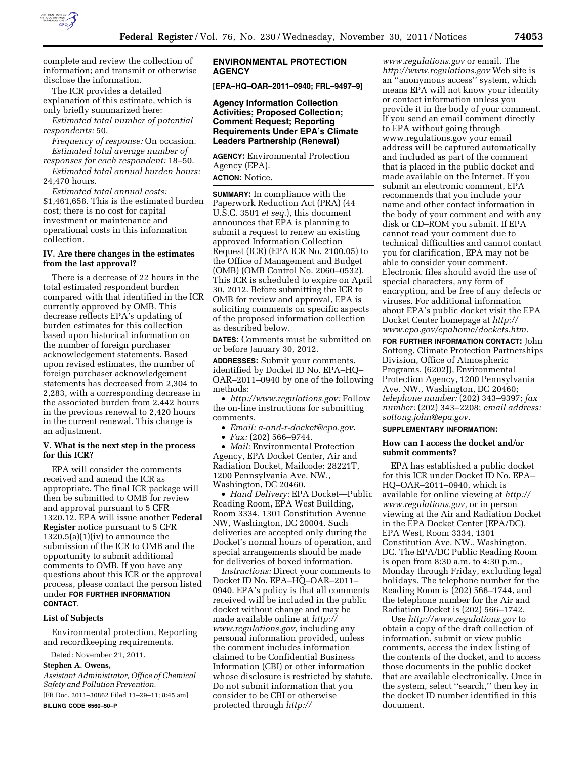

complete and review the collection of information; and transmit or otherwise disclose the information.

The ICR provides a detailed explanation of this estimate, which is only briefly summarized here:

*Estimated total number of potential respondents:* 50.

*Frequency of response:* On occasion. *Estimated total average number of responses for each respondent:* 18–50.

*Estimated total annual burden hours:*  24,470 hours.

*Estimated total annual costs:*  \$1,461,658. This is the estimated burden cost; there is no cost for capital investment or maintenance and operational costs in this information collection.

## **IV. Are there changes in the estimates from the last approval?**

There is a decrease of 22 hours in the total estimated respondent burden compared with that identified in the ICR currently approved by OMB. This decrease reflects EPA's updating of burden estimates for this collection based upon historical information on the number of foreign purchaser acknowledgement statements. Based upon revised estimates, the number of foreign purchaser acknowledgement statements has decreased from 2,304 to 2,283, with a corresponding decrease in the associated burden from 2,442 hours in the previous renewal to 2,420 hours in the current renewal. This change is an adjustment.

#### **V. What is the next step in the process for this ICR?**

EPA will consider the comments received and amend the ICR as appropriate. The final ICR package will then be submitted to OMB for review and approval pursuant to 5 CFR 1320.12. EPA will issue another **Federal Register** notice pursuant to 5 CFR  $1320.5(a)(1)(iv)$  to announce the submission of the ICR to OMB and the opportunity to submit additional comments to OMB. If you have any questions about this ICR or the approval process, please contact the person listed under **FOR FURTHER INFORMATION CONTACT**.

### **List of Subjects**

Environmental protection, Reporting and recordkeeping requirements.

Dated: November 21, 2011.

# **Stephen A. Owens,**

*Assistant Administrator, Office of Chemical Safety and Pollution Prevention.* 

[FR Doc. 2011–30862 Filed 11–29–11; 8:45 am] **BILLING CODE 6560–50–P** 

# **ENVIRONMENTAL PROTECTION AGENCY**

**[EPA–HQ–OAR–2011–0940; FRL–9497–9]** 

### **Agency Information Collection Activities; Proposed Collection; Comment Request; Reporting Requirements Under EPA's Climate Leaders Partnership (Renewal)**

**AGENCY:** Environmental Protection Agency (EPA). **ACTION:** Notice.

**SUMMARY:** In compliance with the Paperwork Reduction Act (PRA) (44 U.S.C. 3501 *et seq.*), this document announces that EPA is planning to submit a request to renew an existing approved Information Collection Request (ICR) (EPA ICR No. 2100.05) to the Office of Management and Budget (OMB) (OMB Control No. 2060–0532). This ICR is scheduled to expire on April 30, 2012. Before submitting the ICR to OMB for review and approval, EPA is soliciting comments on specific aspects of the proposed information collection as described below.

**DATES:** Comments must be submitted on or before January 30, 2012.

**ADDRESSES:** Submit your comments, identified by Docket ID No. EPA–HQ– OAR–2011–0940 by one of the following methods:

• *[http://www.regulations.gov:](http://www.regulations.gov)* Follow the on-line instructions for submitting comments.

- *Email: [a-and-r-docket@epa.gov](mailto:a-and-r-docket@epa.gov)*.
- *Fax:* (202) 566–9744.

• *Mail:* Environmental Protection Agency, EPA Docket Center, Air and Radiation Docket, Mailcode: 28221T, 1200 Pennsylvania Ave. NW., Washington, DC 20460.

• *Hand Delivery:* EPA Docket—Public Reading Room, EPA West Building, Room 3334, 1301 Constitution Avenue NW, Washington, DC 20004. Such deliveries are accepted only during the Docket's normal hours of operation, and special arrangements should be made for deliveries of boxed information.

*Instructions:* Direct your comments to Docket ID No. EPA–HQ–OAR–2011– 0940. EPA's policy is that all comments received will be included in the public docket without change and may be made available online at *[http://](http://www.regulations.gov)  [www.regulations.gov,](http://www.regulations.gov)* including any personal information provided, unless the comment includes information claimed to be Confidential Business Information (CBI) or other information whose disclosure is restricted by statute. Do not submit information that you consider to be CBI or otherwise protected through *[http://](http://www.regulations.gov)* 

*[www.regulations.gov](http://www.regulations.gov)* or email. The *<http://www.regulations.gov>* Web site is an ''anonymous access'' system, which means EPA will not know your identity or contact information unless you provide it in the body of your comment. If you send an email comment directly to EPA without going through [www.regulations.gov](http://www.regulations.gov) your email address will be captured automatically and included as part of the comment that is placed in the public docket and made available on the Internet. If you submit an electronic comment, EPA recommends that you include your name and other contact information in the body of your comment and with any disk or CD–ROM you submit. If EPA cannot read your comment due to technical difficulties and cannot contact you for clarification, EPA may not be able to consider your comment. Electronic files should avoid the use of special characters, any form of encryption, and be free of any defects or viruses. For additional information about EPA's public docket visit the EPA Docket Center homepage at *[http://](http://www.epa.gov/epahome/dockets.htm) [www.epa.gov/epahome/dockets.htm.](http://www.epa.gov/epahome/dockets.htm)* 

**FOR FURTHER INFORMATION CONTACT:** John Sottong, Climate Protection Partnerships Division, Office of Atmospheric Programs, (6202J), Environmental Protection Agency, 1200 Pennsylvania Ave. NW., Washington, DC 20460; *telephone number:* (202) 343–9397; *fax number:* (202) 343–2208; *email address: [sottong.john@epa.gov.](mailto:sottong.john@epa.gov)* 

# **SUPPLEMENTARY INFORMATION:**

# **How can I access the docket and/or submit comments?**

EPA has established a public docket for this ICR under Docket ID No. EPA– HQ–OAR–2011–0940, which is available for online viewing at *[http://](http://www.regulations.gov) [www.regulations.gov,](http://www.regulations.gov)* or in person viewing at the Air and Radiation Docket in the EPA Docket Center (EPA/DC), EPA West, Room 3334, 1301 Constitution Ave. NW., Washington, DC. The EPA/DC Public Reading Room is open from 8:30 a.m. to 4:30 p.m., Monday through Friday, excluding legal holidays. The telephone number for the Reading Room is (202) 566–1744, and the telephone number for the Air and Radiation Docket is (202) 566–1742.

Use *<http://www.regulations.gov>* to obtain a copy of the draft collection of information, submit or view public comments, access the index listing of the contents of the docket, and to access those documents in the public docket that are available electronically. Once in the system, select ''search,'' then key in the docket ID number identified in this document.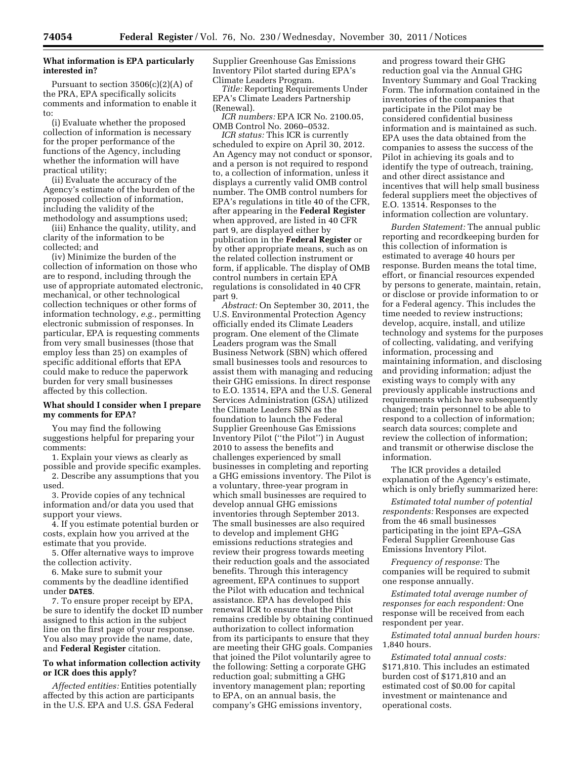## **What information is EPA particularly interested in?**

Pursuant to section  $3506(c)(2)(A)$  of the PRA, EPA specifically solicits comments and information to enable it to:

(i) Evaluate whether the proposed collection of information is necessary for the proper performance of the functions of the Agency, including whether the information will have practical utility;

(ii) Evaluate the accuracy of the Agency's estimate of the burden of the proposed collection of information, including the validity of the methodology and assumptions used;

(iii) Enhance the quality, utility, and clarity of the information to be collected; and

(iv) Minimize the burden of the collection of information on those who are to respond, including through the use of appropriate automated electronic, mechanical, or other technological collection techniques or other forms of information technology, *e.g.,* permitting electronic submission of responses. In particular, EPA is requesting comments from very small businesses (those that employ less than 25) on examples of specific additional efforts that EPA could make to reduce the paperwork burden for very small businesses affected by this collection.

### **What should I consider when I prepare my comments for EPA?**

You may find the following suggestions helpful for preparing your comments:

1. Explain your views as clearly as possible and provide specific examples. 2. Describe any assumptions that you used.

3. Provide copies of any technical information and/or data you used that support your views.

4. If you estimate potential burden or costs, explain how you arrived at the estimate that you provide.

5. Offer alternative ways to improve the collection activity.

6. Make sure to submit your comments by the deadline identified under **DATES**.

7. To ensure proper receipt by EPA, be sure to identify the docket ID number assigned to this action in the subject line on the first page of your response. You also may provide the name, date, and **Federal Register** citation.

## **To what information collection activity or ICR does this apply?**

*Affected entities:* Entities potentially affected by this action are participants in the U.S. EPA and U.S. GSA Federal

Supplier Greenhouse Gas Emissions Inventory Pilot started during EPA's Climate Leaders Program.

*Title:* Reporting Requirements Under EPA's Climate Leaders Partnership (Renewal).

*ICR numbers:* EPA ICR No. 2100.05, OMB Control No. 2060–0532.

*ICR status:* This ICR is currently scheduled to expire on April 30, 2012. An Agency may not conduct or sponsor, and a person is not required to respond to, a collection of information, unless it displays a currently valid OMB control number. The OMB control numbers for EPA's regulations in title 40 of the CFR, after appearing in the **Federal Register**  when approved, are listed in 40 CFR part 9, are displayed either by publication in the **Federal Register** or by other appropriate means, such as on the related collection instrument or form, if applicable. The display of OMB control numbers in certain EPA regulations is consolidated in 40 CFR part 9.

*Abstract:* On September 30, 2011, the U.S. Environmental Protection Agency officially ended its Climate Leaders program. One element of the Climate Leaders program was the Small Business Network (SBN) which offered small businesses tools and resources to assist them with managing and reducing their GHG emissions. In direct response to E.O. 13514, EPA and the U.S. General Services Administration (GSA) utilized the Climate Leaders SBN as the foundation to launch the Federal Supplier Greenhouse Gas Emissions Inventory Pilot (''the Pilot'') in August 2010 to assess the benefits and challenges experienced by small businesses in completing and reporting a GHG emissions inventory. The Pilot is a voluntary, three-year program in which small businesses are required to develop annual GHG emissions inventories through September 2013. The small businesses are also required to develop and implement GHG emissions reductions strategies and review their progress towards meeting their reduction goals and the associated benefits. Through this interagency agreement, EPA continues to support the Pilot with education and technical assistance. EPA has developed this renewal ICR to ensure that the Pilot remains credible by obtaining continued authorization to collect information from its participants to ensure that they are meeting their GHG goals. Companies that joined the Pilot voluntarily agree to the following: Setting a corporate GHG reduction goal; submitting a GHG inventory management plan; reporting to EPA, on an annual basis, the company's GHG emissions inventory,

and progress toward their GHG reduction goal via the Annual GHG Inventory Summary and Goal Tracking Form. The information contained in the inventories of the companies that participate in the Pilot may be considered confidential business information and is maintained as such. EPA uses the data obtained from the companies to assess the success of the Pilot in achieving its goals and to identify the type of outreach, training, and other direct assistance and incentives that will help small business federal suppliers meet the objectives of E.O. 13514. Responses to the information collection are voluntary.

*Burden Statement:* The annual public reporting and recordkeeping burden for this collection of information is estimated to average 40 hours per response. Burden means the total time, effort, or financial resources expended by persons to generate, maintain, retain, or disclose or provide information to or for a Federal agency. This includes the time needed to review instructions; develop, acquire, install, and utilize technology and systems for the purposes of collecting, validating, and verifying information, processing and maintaining information, and disclosing and providing information; adjust the existing ways to comply with any previously applicable instructions and requirements which have subsequently changed; train personnel to be able to respond to a collection of information; search data sources; complete and review the collection of information; and transmit or otherwise disclose the information.

The ICR provides a detailed explanation of the Agency's estimate, which is only briefly summarized here:

*Estimated total number of potential respondents:* Responses are expected from the 46 small businesses participating in the joint EPA–GSA Federal Supplier Greenhouse Gas Emissions Inventory Pilot.

*Frequency of response:* The companies will be required to submit one response annually.

*Estimated total average number of responses for each respondent:* One response will be received from each respondent per year.

*Estimated total annual burden hours:*  1,840 hours.

*Estimated total annual costs:*  \$171,810. This includes an estimated burden cost of \$171,810 and an estimated cost of \$0.00 for capital investment or maintenance and operational costs.